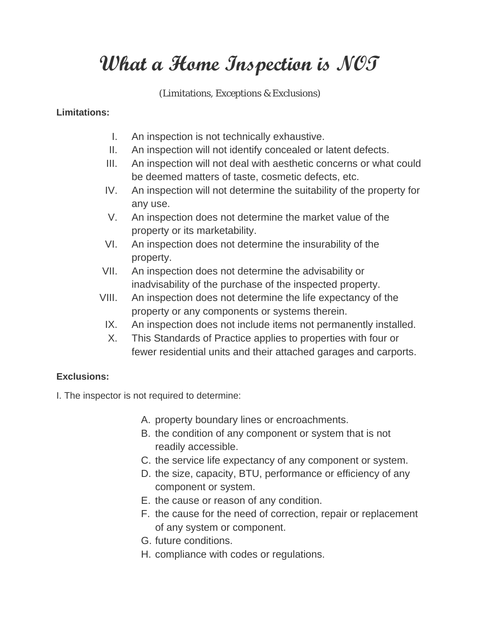## **What a Home Inspection is NOT**

(Limitations, Exceptions & Exclusions)

## **Limitations:**

- I. An inspection is not technically exhaustive.
- II. An inspection will not identify concealed or latent defects.
- III. An inspection will not deal with aesthetic concerns or what could be deemed matters of taste, cosmetic defects, etc.
- IV. An inspection will not determine the suitability of the property for any use.
- V. An inspection does not determine the market value of the property or its marketability.
- VI. An inspection does not determine the insurability of the property.
- VII. An inspection does not determine the advisability or inadvisability of the purchase of the inspected property.
- VIII. An inspection does not determine the life expectancy of the property or any components or systems therein.
	- IX. An inspection does not include items not permanently installed.
	- X. This Standards of Practice applies to properties with four or fewer residential units and their attached garages and carports.

## **Exclusions:**

I. The inspector is not required to determine:

- A. property boundary lines or encroachments.
- B. the condition of any component or system that is not readily accessible.
- C. the service life expectancy of any component or system.
- D. the size, capacity, BTU, performance or efficiency of any component or system.
- E. the cause or reason of any condition.
- F. the cause for the need of correction, repair or replacement of any system or component.
- G. future conditions.
- H. compliance with codes or regulations.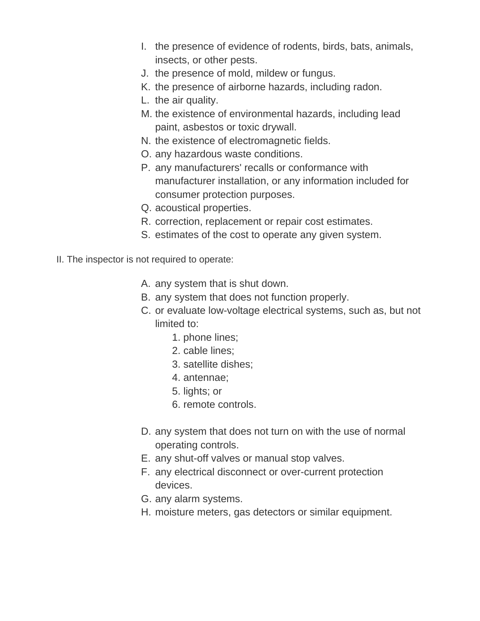- I. the presence of evidence of rodents, birds, bats, animals, insects, or other pests.
- J. the presence of mold, mildew or fungus.
- K. the presence of airborne hazards, including radon.
- L. the air quality.
- M. the existence of environmental hazards, including lead paint, asbestos or toxic drywall.
- N. the existence of electromagnetic fields.
- O. any hazardous waste conditions.
- P. any manufacturers' recalls or conformance with manufacturer installation, or any information included for consumer protection purposes.
- Q. acoustical properties.
- R. correction, replacement or repair cost estimates.
- S. estimates of the cost to operate any given system.
- II. The inspector is not required to operate:
	- A. any system that is shut down.
	- B. any system that does not function properly.
	- C. or evaluate low-voltage electrical systems, such as, but not limited to:
		- 1. phone lines;
		- 2. cable lines;
		- 3. satellite dishes;
		- 4. antennae;
		- 5. lights; or
		- 6. remote controls.
	- D. any system that does not turn on with the use of normal operating controls.
	- E. any shut-off valves or manual stop valves.
	- F. any electrical disconnect or over-current protection devices.
	- G. any alarm systems.
	- H. moisture meters, gas detectors or similar equipment.